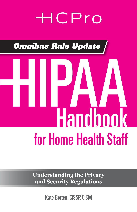## HCPro

*Omnibus Rule Update*

# for Home Health Staff HIPAA Handbook

**Understanding the Privacy and Security Regulations**

Kate Borten, CISSP, CISM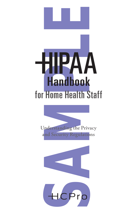



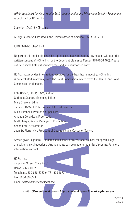*HIPAA Handbook for Home Health Staff: Understanding the Privacy and Security Regulations*  is published by HCPro, Inc.

Copyright © 2013 HCPro, Inc.

All rights reserved. Printed in the United States of America. 5 4 3 2 1

ISBN: 978-1-61569-237-8

No part of this publication may be reproduced, in any form or by any means, without prior written consent of HCPro, Inc., or the Copyright Clearance Center (978-750-8400). Please notify us immediately if you have received an unauthorized copy.

HCPro, Inc., provides information resources for the healthcare industry. HCPro, Inc., is not affiliated in any way with The Joint Commission, which owns the JCAHO and Joint Commission trademarks.

Example Staff: Understanding the Privacy and Security Regulation:<br>
Inc.<br>
Inc.<br>
Inc.<br>
Inc.<br>
Inc.<br>
Inc.<br>
Inc.<br>
Inc.<br>
Inc.<br>
Inc.<br>
Inc.<br>
Inc.<br>
Inc.<br>
Inc.<br>
Inc.<br>
Inc.<br>
Inc., or the Copyright Clearance Center (978-750-8400). Ple Kate Borten, CISSP, CISM, Author Gerianne Spanek, Managing Editor Mary Stevens, Editor James T. DeWolf, Publisher and Editorial Director Mike Mirabello, Production Specialist Amanda Donaldson, Proofreader Matt Sharpe, Senior Manager of Production Shane Katz, Art Director Jean St. Pierre, Vice President of Operations and Customer Service

Advice given is general. Readers should consult professional counsel for specific legal, ethical, or clinical questions. Arrangements can be made for quantity discounts. For more information, contact:

HCPro, Inc. 75 Sylvan Street, Suite A-101 Danvers, MA 01923 Telephone: 800-650-6787 or 781-639-1872 Fax: 800-639-8511 Email: *customerservice@hcpro.com*

**Visit HCPro online at:** *www.hcpro.com* **and** *www.hcmarketplace.com***.**

05/2013 22026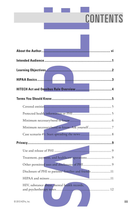### **CONTENTS**

|                     |                                                        | <b>CONTENTS</b> |
|---------------------|--------------------------------------------------------|-----------------|
|                     |                                                        |                 |
|                     |                                                        |                 |
|                     |                                                        |                 |
|                     |                                                        |                 |
|                     |                                                        |                 |
|                     |                                                        |                 |
| <b>HIPAA Basics</b> |                                                        |                 |
|                     |                                                        |                 |
|                     | Terms You Should Know                                  |                 |
|                     |                                                        |                 |
|                     |                                                        |                 |
|                     |                                                        |                 |
|                     |                                                        |                 |
|                     |                                                        |                 |
|                     |                                                        |                 |
|                     |                                                        |                 |
|                     | Treatment, payment, and healthcare operations 9        |                 |
|                     |                                                        |                 |
|                     | Disclosure of PHI to patients' families and friends 11 |                 |
|                     |                                                        |                 |
| 2013 HCPro, Inc.    | HIV, substance abuse, mental health records,           |                 |
|                     |                                                        |                 |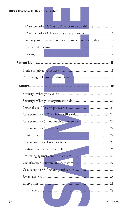| <b>HIPAA Handbook for Home Health Staff</b>              |
|----------------------------------------------------------|
|                                                          |
| Case scenario #2: You don't want to be on this list  14  |
|                                                          |
| What your organization does to protect confidentiality15 |
|                                                          |
|                                                          |
|                                                          |
|                                                          |
|                                                          |
|                                                          |
| the contract of the contract of the                      |
|                                                          |
|                                                          |
|                                                          |
|                                                          |
|                                                          |
|                                                          |
|                                                          |
|                                                          |
|                                                          |
|                                                          |
| 27                                                       |
|                                                          |
|                                                          |
|                                                          |
| iv<br>© 2013 HCPro. Inc.                                 |
|                                                          |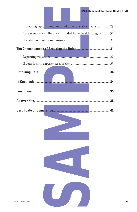|                  |  | <b>HIPAA Handbook for Home Health</b>                        |
|------------------|--|--------------------------------------------------------------|
|                  |  | Protecting laptop computers and other portable media 29      |
|                  |  | Case scenario #9: The absentminded home health caregiver  30 |
|                  |  |                                                              |
|                  |  |                                                              |
|                  |  |                                                              |
|                  |  |                                                              |
|                  |  |                                                              |
|                  |  |                                                              |
|                  |  |                                                              |
|                  |  |                                                              |
|                  |  |                                                              |
|                  |  |                                                              |
|                  |  |                                                              |
|                  |  |                                                              |
|                  |  |                                                              |
|                  |  |                                                              |
|                  |  |                                                              |
|                  |  |                                                              |
|                  |  |                                                              |
|                  |  |                                                              |
|                  |  |                                                              |
| 2013 HCPro, Inc. |  |                                                              |

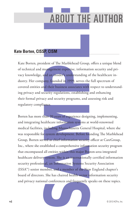## **ABOUT THE AUTH**

#### **Kate Borten, CISSP, CISM**

Kate Borten, president of The Marblehead Group, offers a unique blend of technical and management expertise, information security and privacy knowledge, and an insider's understanding of the healthcare industry. Her company, founded in 1999, serves the full spectrum of covered entities and their business associates with respect to understanding privacy and security regulations, establishing and enhancing their formal privacy and security programs, and assessing risk and regulatory compliance.

P. CISM<br>
P. CISM<br>
Dent of The Marblehead Group, offers a unique blend<br>
and<br>
agagement experits in information security and principal and insider's understanding of the healthcare in-<br>
my, founded in 1999, serves the full s Borten has more than 20 years of experience designing, implementing, and integrating healthcare information systems at world-renowned medical facilities, including Massachusetts General Hospital, where she was responsible for system development. Before founding The Marblehead Group, Borten served as chief information security officer at CareGroup, Inc., where she established a comprehensive information security program that encompassed all entities within this major Boston-area integrated healthcare delivery system. She is an internationally certified information security professional, an Information Systems Security Association (ISSA™) senior member, and a member of the New England chapter's board of directors. She has chaired health sector information security and privacy national conferences and frequently speaks on these topics.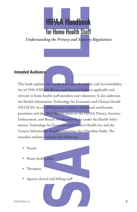

*Understanding the Privacy and Security Regulations*

#### **Intended Audience**

**HIPAA Handbook**<br> **for Home Health Staff**<br> *ting the Privacy and Security Regulations*<br> **explore Figure 2**<br> **consider the Figure Constant Consider Accountability**<br> **consider the Handbook Start Consider Accountability**<br> **ex** This book explains the Health Insurance Portability and Accountability Act of 1996 (HIPAA) Privacy and Security Rules as applicable and relevant to home health staff members and volunteers. It also addresses the Health Information Technology for Economic and Clinical Health (HITECH) Act of 2009 privacy, security, and breach notification provisions and the 2013 Modifications to the HIPAA Privacy, Security, Enforcement, and Breach Notification Rules under the Health Information Technology for Economic and Clinical Health Act and the Genetic Information Nondiscrimination Act (Omnibus Rule). The intended audience includes the following:

- Nurses
- Home health aides
- Therapists
- Agency clerical and billing staff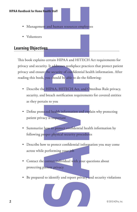- Management and human resources employees
- Volunteers

#### **Learning Objectives**

ealth Staff<br>
and human resources employees<br>
as<br>
certain HIPAA and HITECH Act requirements for<br>
y. Ir addresses workplace practices that protect patient<br>
the security of confidential health information. After<br>
you should be This book explains certain HIPAA and HITECH Act requirements for privacy and security. It addresses workplace practices that protect patient privacy and ensure the security of confidential health information. After reading this book, you should be able to do the following:

- Describe the HIPAA, HITECH Act, and Omnibus Rule privacy, security, and breach notification requirements for covered entities as they pertain to you
- Define protected health information and explain why protecting patient privacy is important
- Summarize how to protect confidential health information by following proper physical security procedures
- Describe how to protect confidential information you may come across while performing your job
- Contact the correct individual with your questions about protecting patient privacy
- Be prepared to identify and report privacy and security violations

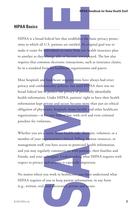#### **HIPAA Basics**

HIPAA is a broad federal law that establishes the basic privacy protections to which all U.S. patients are entitled. Its original goal was to make it easier for individuals to move from one health insurance plan to another as they change jobs or become unemployed. The law also requires that common electronic transactions, such as insurance claims, be in a standard form for healthcare organizations and payers.

**HIPAA Handbook for Home Health**<br>
Edecral law that establishes the basic privacy protector.<br>
U.S. patients are entitled. Its original goal was to<br>
adividuals to move from one health insurance plan<br>
change jobs or become un Most hospitals and healthcare organizations have always had strict privacy and confidentiality policies, but until HIPAA there was no broad federal law to protect the privacy of personally identifiable health information. Under HIPAA, patients' right to have their health information kept private and secure became more than just an ethical obligation of physicians, hospitals, home health, and other healthcare organizations—it became federal law, with civil and even criminal penalties for violations.

Whether you are a nurse, home health aide, therapist, volunteer, or a member of your organization's clerical, billing, human resources, or management staff, you have access to protected health information, and you may regularly communicate with patients, their families and friends, and your colleagues. Understanding what HIPAA requires with respect to privacy and security is especially important.

No matter where you work in healthcare, you must understand what HIPAA requires of you to keep patient information, in any form (e.g., written, oral, and electronic), private and secure.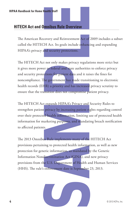#### **HITECH Act and Omnibus Rule Overview**

The American Recovery and Reinvestment Act of 2009 includes a subset called the HITECH Act. Its goals include enhancing and expanding HIPAA's privacy and security protections.

The HITECH Act not only makes privacy regulations more strict but it gives more power to federal and state authorities to enforce privacy and security protections for patient data and it raises the fines for noncompliance. The government has made transitioning to electronic health records (EHR) a priority and has increased privacy scrutiny to ensure that the transition does not compromise patient privacy.

The HITECH Act expands HIPAA's Privacy and Security Rules to strengthen patient privacy by increasing patient rights regarding control over their protected health information, limiting use of protected health information for marketing purposes, and mandating breach notification to affected patients.

**ealth Staff**<br> **Staff**<br> **Staff**<br> **Staff**<br> **Staff**<br> **Staff**<br> **Staff**<br> **Exact.** Its goals include enhancing and expanding<br> **Index earchly protections.**<br> **not only makes privacy regulations more strict but<br>
<b>r** to federal and The 2013 Omnibus Rule implements many of the HITECH Act provisions pertaining to protected health information, as well as new protection for genetic information, as mandated by the Genetic Information Nondiscrimination Act (GINA), and new privacy provisions from the U.S. Department of Health and Human Services (HHS). The rule's enforcement date is September 23, 2013.

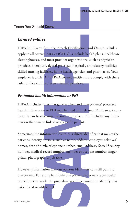#### **Terms You Should Know**

#### *Covered entities*

**HIPAA Handbook for Home Health**<br> **S**<br>
Security, Breach Notification, and Omnibus Rules<br>
cartities (CE). CEs include health plans, healthcare<br>
and ones provider organizations, such as physician<br>
s, dental practices, hospit HIPAA's Privacy, Security, Breach Notification, and Omnibus Rules apply to all covered entities (CE). CEs include health plans, healthcare clearinghouses, and most provider organizations, such as physician practices, therapists, dental practices, hospitals, ambulatory facilities, skilled nursing facilities, home health agencies, and pharmacies. Your employer is a CE. All HIPAA covered entities must comply with these rules or face civil and even criminal penalties.

#### *Protected health information or PHI*

HIPAA includes rules that govern when and how patients' protected health information or PHI may be used and released. PHI can take any form. It can be electronic, written, or spoken. PHI includes any information that can be linked to a specific patient.

Sometimes the information contains a direct identifier that makes the patient's identity obvious, such as name, address, employer, relatives' names, date of birth, telephone number, email address, Social Security number, medical record number, member or account number, fingerprints, photograph, or job title.

However, information without obvious identifiers can still point to one patient. For example, if only one patient underwent a particular procedure this week, the procedure would be enough to identify that patient and would be PHI.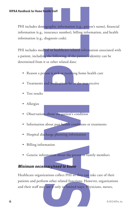ealth Staff<br>
starts and Staff<br>
starts and the method, by the particular and the state of the method<br>
starts and the following. If the patients identity can be<br>
started that and the patients identity can be<br>
started data:<br> PHI includes demographic information (e.g., person's name), financial information (e.g., insurance number), billing information, and health information (e.g., diagnosis code).

PHI includes medical or healthcare-related information associated with a patient, including the following, if the patient's identity can be determined from it or other related data:

- Reason a person is sick or receiving home health care
- Treatments and medications he or she may receive
- Test results
- Allergies
- Observations about the patient's condition
- Information about past health conditions or treatments
- Hospital discharge planning information
- Billing information
- Genetic information about the person or family members

#### *Minimum necessary/need to know*

Healthcare organizations collect PHI so they can take care of their patients and perform other related functions. However, organizations and their staff may use it only in limited ways. Physicians, nurses,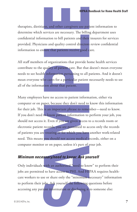#### **HIPAA Handbook for Home Health Staff**

therapists, dietitians, and other caregivers use patient information to determine which services are necessary. The billing department uses confidential information to bill patients and their insurers for services provided. Physicians and quality control directors review confidential information to ensure that patients receive good care.

All staff members of organizations that provide home health services contribute to the quality of patient care. But that doesn't mean everyone needs to see health information pertaining to all patients. And it doesn't mean everyone who cares for a particular patient necessarily needs to see all of the information about that patient.

HIPAA Mandbook for Home Health<br>
as, and other caregivers use patient information to<br>
revices are necessary. The billing department uses<br>
nation to bill patients and their insurers for services<br>
and quality control director Many employees have no access to patient information, either via computer or on paper, because they don't need to know this information for their job. This is an important phrase to remember—need to know. If you don't need to know patient information to perform your job, you should not access it. Even if you are given access to a records room or electronic patient records, you are permitted to access only the records of patients you are treating or for which you have another work-related need. This means you should not access medical records, either on a computer monitor or on paper, unless it's part of your job.

#### *Minimum necessary/need to know: Ask yourself*

Only individuals with an authorized "need to know" to perform their jobs are permitted to have access to PHI. And HIPAA requires healthcare workers to use or share only the "minimum necessary" information to perform their jobs. Ask yourself the following questions before accessing any patient information or disclosing it to someone else: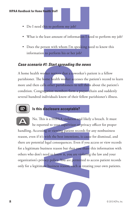- Do I need this to perform my job?
- What is the least amount of information I need to perform my job?
- Does the person with whom I'm speaking need to know this information to perform his or her job?

#### *Case scenario #1: Start spreading the news*

A home health worker notices that a coworker's patient is a fellow parishioner. The home health worker accesses the patient's record to learn more and then calls other parishioners to tell them about the patient's condition. Congregation members form a prayer chain and suddenly several hundred individuals know of their fellow parishioner's illness.



#### **Is this disclosure acceptable?**

**Example 18 Staff**<br>
Staff<br>
Staff<br>
Staff<br>
Staff<br>
Staff spreading the news<br>
Star amount of information I need to know this<br>
to perform his or her job?<br>
Staff spreading the news<br>
Star points on the property patient is a fello No. This is a HIPAA violation and likely a breach. It must be reported to your supervisor or privacy officer for proper handling. Accessing or viewing patient records for any nonbusiness reason, even if it's with the best intentions, is cause for dismissal, and there are potential legal consequences. Even if you access or view records for a legitimate business reason but then you share this information with others who don't need to know it, you are violating the law and your organization's privacy policy. You are permitted to access patient records only for a legitimate business reason, such as treating your own patients. **A**

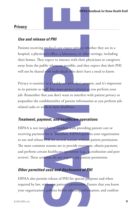#### **Privacy**

#### *Use and release of PHI*

Patients receiving medical care expect privacy whether they are in a hospital, a physician's office, a laboratory, or other settings, including their homes. They expect to interact with their physicians or caregivers away from the public whenever possible, and they expect that their PHI will not be shared with individuals who don't have a need to know.

Privacy is essential to a healthcare provider's mission, and it's important to its patients as well. You must protect privacy as you perform your job. Remember that you don't want to interfere with patient privacy or jeopardize the confidentiality of patient information as you perform jobrelated tasks or work to meet deadlines.

#### *Treatment, payment, and healthcare operations*

**EXECUTE AN ADMODE THE SET AND ADMODEL SET AND A SET AND A SET AND A SET AND A SET AND THE MET AND SET AND THE MET AND SET AND THE MET AND MONETON AND MONETON THE MANUSCRIPT ON A DELIVERAL PROPERTIES (INCORPLANE) THE MANUS** HIPAA is not intended to interfere with providing patient care or receiving payment for it. Therefore, HIPAA permits your organization to use and release PHI for several reasons without patient permission. The most common reasons are to provide treatment, obtain payment, and perform certain healthcare operations (e.g., accreditation and peer review). These activities do not require any patient permission.

#### *Other permitted uses and disclosures of PHI*

HIPAA also permits release of PHI for special purposes and when required by law, without a patient's permission. Ensure that you know your organization's policies before releasing information, and confirm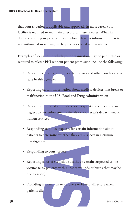**Example 2018**<br> **Example:** Starff and approved. In most cases, your to maintain a record of these releases. When in<br>
triviary officer before releasing information that is<br>
writing by the patient or legal representative.<br>
F that your situation is applicable and approved. In most cases, your facility is required to maintain a record of these releases. When in doubt, consult your privacy officer before releasing information that is not authorized in writing by the patient or legal representative.

Examples of scenarios in which your organization may be permitted or required to release PHI without patient permission include the following:

- Reporting certain communicable diseases and other conditions to state health agencies
- Reporting certain information about medical devices that break or malfunction to the U.S. Food and Drug Administration
- Reporting suspected child abuse or incapacitated elder abuse or neglect to law enforcement officials or your state's department of human services
- Responding to police requests for certain information about patients to determine whether they are suspects in a criminal investigation
- Responding to court orders
- Reporting cases of suspicious deaths or certain suspected crime victims (e.g., patients with gunshot wounds or burns that may be due to arson)
- Providing information to coroners or funeral directors when patients die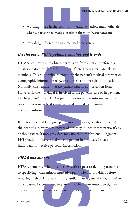- Warning those in the community (and law enforcement officials) when a patient has made a credible threat to harm someone
- Providing information in a medical emergency

#### *Disclosure of PHI to patients' families and friends*

**HIPAA fandbook** for Home Health<br>
See in the community (and law enforcement officials)<br>
and has made a credible threat to harm someone<br>
formation in a medical emergency<br> **HI to patients' families and friends**<br> **HI to patie** HIPAA requires you to obtain permission from a patient before discussing a patient with family members, friends, caregivers, and clergy members. This rule applies to providing the patient's medical information, demographic information (e.g., an address), and financial information. Normally, this requires that the patient sign an authorization form. However, if the individual is involved in the patient's care or in payment for the patient's care, HIPAA permits less formal permission from the patient, but it must be documented and limited to the minimum necessary information.

If a patient is unable to give permission, the caregiver should identify the next of kin, surrogate, power of attorney, or healthcare proxy, if any of these exists. If not, providers may use their professional judgment. PHI should not be released when a patient has indicated that an individual not receive personal information.

#### *HIPAA and minors*

HIPAA primarily relies on state law with respect to defining minors and to specifying when minors must give permission to providers before releasing their PHI to parents or guardians. As a general rule, if a minor may consent for treatment in your state, the minor must also sign an authorization to release documentation about the treatment.